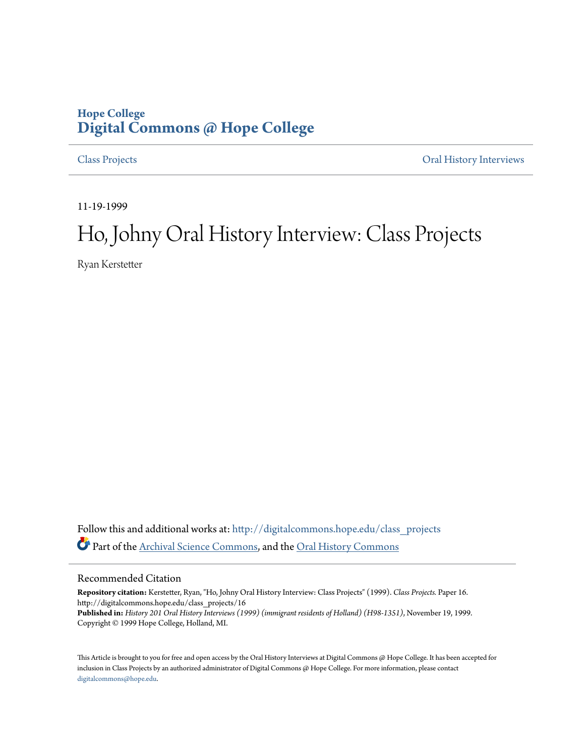## **Hope College [Digital Commons @ Hope College](http://digitalcommons.hope.edu?utm_source=digitalcommons.hope.edu%2Fclass_projects%2F16&utm_medium=PDF&utm_campaign=PDFCoverPages)**

[Class Projects](http://digitalcommons.hope.edu/class_projects?utm_source=digitalcommons.hope.edu%2Fclass_projects%2F16&utm_medium=PDF&utm_campaign=PDFCoverPages) [Oral History Interviews](http://digitalcommons.hope.edu/oral_histories?utm_source=digitalcommons.hope.edu%2Fclass_projects%2F16&utm_medium=PDF&utm_campaign=PDFCoverPages)

11-19-1999

## Ho, Johny Oral History Interview: Class Projects

Ryan Kerstetter

Follow this and additional works at: [http://digitalcommons.hope.edu/class\\_projects](http://digitalcommons.hope.edu/class_projects?utm_source=digitalcommons.hope.edu%2Fclass_projects%2F16&utm_medium=PDF&utm_campaign=PDFCoverPages) Part of the [Archival Science Commons,](http://network.bepress.com/hgg/discipline/1021?utm_source=digitalcommons.hope.edu%2Fclass_projects%2F16&utm_medium=PDF&utm_campaign=PDFCoverPages) and the [Oral History Commons](http://network.bepress.com/hgg/discipline/1195?utm_source=digitalcommons.hope.edu%2Fclass_projects%2F16&utm_medium=PDF&utm_campaign=PDFCoverPages)

## Recommended Citation

**Repository citation:** Kerstetter, Ryan, "Ho, Johny Oral History Interview: Class Projects" (1999). *Class Projects.* Paper 16. http://digitalcommons.hope.edu/class\_projects/16 **Published in:** *History 201 Oral History Interviews (1999) (immigrant residents of Holland) (H98-1351)*, November 19, 1999. Copyright © 1999 Hope College, Holland, MI.

This Article is brought to you for free and open access by the Oral History Interviews at Digital Commons @ Hope College. It has been accepted for inclusion in Class Projects by an authorized administrator of Digital Commons @ Hope College. For more information, please contact [digitalcommons@hope.edu.](mailto:digitalcommons@hope.edu)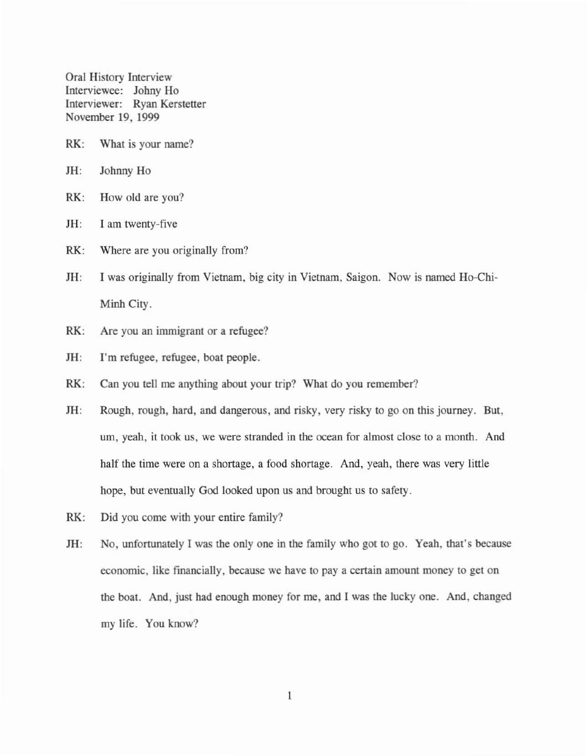Oral History Interview Interviewee: Johny Ho Interviewer: Ryan Kerstetter November 19, 1999

- RK: What is your name?
- JH: Johnny Ho
- RK: How old are you?
- JH: I am twenty-five
- RK: Where are you originally from?
- JH: I was originally from Vietnam, big eity in Vietnam, Saigon. Now is named Ho-Chi-Minh City.
- RK: Are you an immigrant or a refugee?
- IH: I'm refugee, refugee, boat people.
- RK: Can you tell me anything about your trip? What do you remember?
- JH: Rough, rough, hard, and dangerous, and risky, very risky to go on this journey. But, urn, yeah, it took us, we were stranded in the ocean for almost close to a month. And half the time were on a shortage, a food shortage. And, yeah, there was very little hope, but eventually God looked upon us and brought us to safety.
- RK: Did you come with your entire family?
- JH: No, unfortunately I was the only one in the family who got to go. Yeah, that's because economic, like financially, because we have to pay a certain amount money to gel on the boat. And, just had enough money for me, and I was the lucky one. And, changed my life. You know?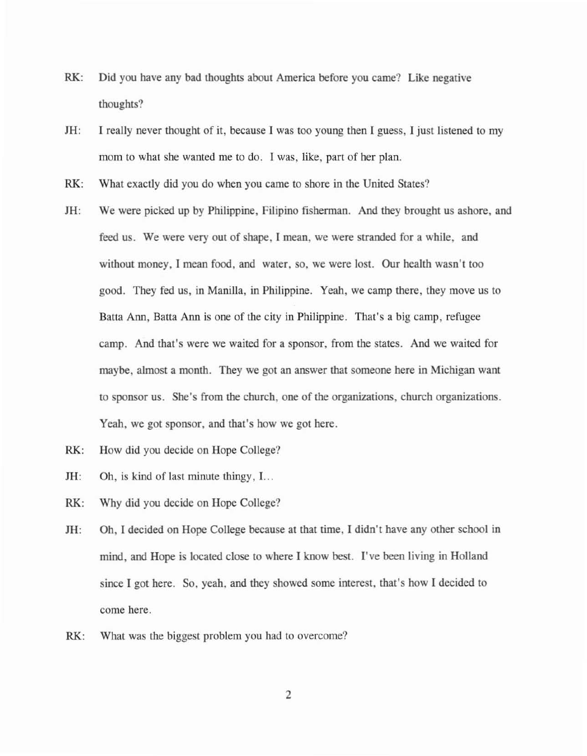- RK: Did you have any bad thoughts about America before you came? Like negative thoughts?
- JH: I really never thought of it, because I was too young then I guess, I just listened to my mom to what she wanted me to do. I was, like, part of her plan.
- RK: What exactly did you do when you came to shore in the United States?
- JH: We were picked up by Philippine, Filipino fisherman. And they brought us ashore, and feed us. We were very out of shape, I mean, we were stranded for a while, and without money, I mean food, and water, so, we were lost. Our health wasn't too good. They fed us, in Manilla, in Philippine. Yeah, we camp there, they move us to Batta Ann, Batta Ann is one of the city in Philippine. That's a big camp, refugee camp. And that's were we waited for a sponsor, from the states. And we waited for maybe, almost a momh. They we got an answer that someone here in Michigan want to sponsor us. She's from the church, one of the organizations, church organizations. Yeah, we got sponsor, and that's how we got here.
- RK: How did you decide on Hope College?
- JH: Oh, is kind of last minute thingy, I...
- RK: Why did you decide on Hope College?
- JH: Dh, I decided on Hope College because at that time, I didn't have any other school in mind, and Hope is located close to where I know best. I've been living in Holland since I got here. So, yeah, and they showed some interest, that's how I decided to come here.
- RK: What was the biggest problem you had to overcome?

2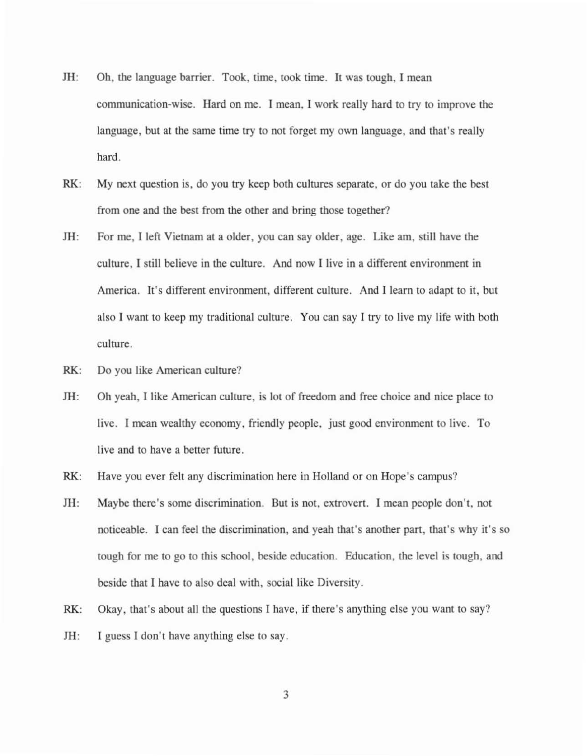- 1H: Dh, the language barrier. Took, time, took time. It was tough, I mean communication-wise. Hard on me. I mean, I work really hard to try to improve the language, but at the same time try to not forget my own language, and that's really hard.
- RK: My next question is, do you try keep both cultures separate, or do you take the best from one and the best from the other and bring those together?
- 1H: For me, I left Vietnam at a older, you can say older, age. Like am, still have the culture, I still believe in the culture. And now I live in a different environment in America. It's different environment, different culture. And I learn to adapt to it, but also I want to keep my traditional culture. You can say I try to live my life with both culture.
- RK: Do you like American culture?
- HI: Oh yeah, I like American culture, is lot of freedom and free choice and nice place to live. I mean wealthy economy, friendly people, just good environment to live. To live and to have a better future.
- RK: Have you ever felt any discrimination here in Holland or on Hope's campus?
- JH: Maybe there's some discrimination. But is not, extrovert. I mean people don't, not noticeable. I can feel the discrimination, and yeah that's another part, that's why it's so tough for me to go to this school, beside education. Education, the level is tough, and beside that I have to also deal with, social like Diversity.
- RK: Okay, that's about all the questions I have, if there's anything else you want to say?
- JH: I guess I don't have anything else to say.

3